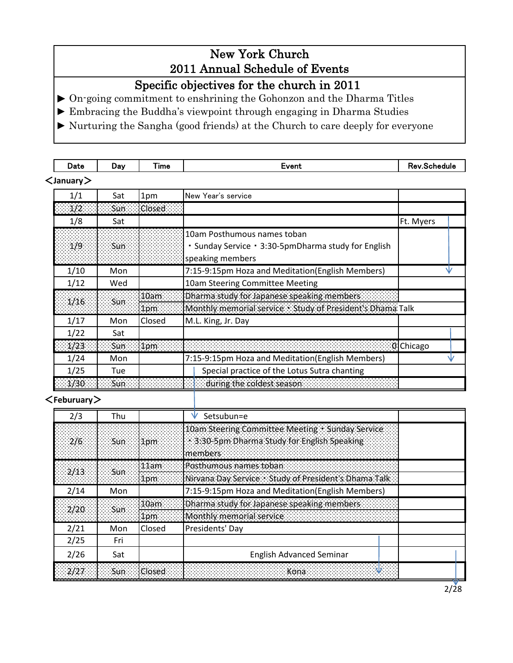# New York Church 2011 Annual Schedule of Events

Specific objectives for the church in 2011

► On-going commitment to enshrining the Gohonzon and the Dharma Titles

► Embracing the Buddha's viewpoint through engaging in Dharma Studies

► Nurturing the Sangha (good friends) at the Church to care deeply for everyone

| Date              | Day        | Time               | Event                                                      | <b>Rev.Schedule</b> |  |
|-------------------|------------|--------------------|------------------------------------------------------------|---------------------|--|
| $<$ January $>$   |            |                    |                                                            |                     |  |
| 1/1               | Sat        | 1pm                | New Year's service                                         |                     |  |
| $\overline{1/2}$  | Sun        | Closed             |                                                            |                     |  |
| 1/8               | Sat        |                    |                                                            | Ft. Myers           |  |
|                   |            |                    | 10am Posthumous names toban                                |                     |  |
| 1/9               | <b>Sun</b> |                    | • Sunday Service • 3:30-5pmDharma study for English        |                     |  |
|                   |            |                    | speaking members                                           |                     |  |
| 1/10              | Mon        |                    | 7:15-9:15pm Hoza and Meditation(English Members)           | V                   |  |
| 1/12              | Wed        |                    | 10am Steering Committee Meeting                            |                     |  |
| 1/16              | Sun        | 10am               | Dharma study for Japanese speaking members                 |                     |  |
|                   |            | 1pm                | Monthly memorial service : Study of President's Dhama Talk |                     |  |
| 1/17              | Mon        | Closed             | M.L. King, Jr. Day                                         |                     |  |
| 1/22              | Sat        |                    |                                                            |                     |  |
| 1/23              | <b>Sun</b> | 1pm                |                                                            | 0Chicago            |  |
| 1/24              | Mon        |                    | 7:15-9:15pm Hoza and Meditation(English Members)           |                     |  |
| 1/25              | Tue        |                    | Special practice of the Lotus Sutra chanting               |                     |  |
| 1/30              | Sun        |                    | $\Box$ during the coldest season $\Box$                    |                     |  |
| $<$ Feburuary $>$ |            |                    |                                                            |                     |  |
| 2/3               | Thu        |                    | Setsubun=e                                                 |                     |  |
|                   |            |                    | 10am Steering Committee Meeting Sunday Service             |                     |  |
| 2/6               | <b>Sun</b> | 1pm                | 3:30-5pm Dharma Study for English Speaking                 |                     |  |
|                   |            |                    | members                                                    |                     |  |
|                   |            | 11am               | Posthumous names toban:                                    |                     |  |
| 2/13              | <b>Sun</b> | 1pm                | Nirvana Day Service Study of President's Dhama Talk        |                     |  |
| 2/14              | Mon        |                    | 7:15-9:15pm Hoza and Meditation(English Members)           |                     |  |
|                   |            | $\overline{10}$ am | Dharma study for Japanese speaking members.                |                     |  |
| 2/20              | Sun        | 1pm                | Monthly memorial service                                   |                     |  |
| 2/21              | Mon        | Closed             | Presidents' Day                                            |                     |  |
| 2/25              | Fri        |                    |                                                            |                     |  |
| 2/26              | Sat        |                    | <b>English Advanced Seminar</b>                            |                     |  |
| 2/27              | Sun        | Closed             | Kona                                                       |                     |  |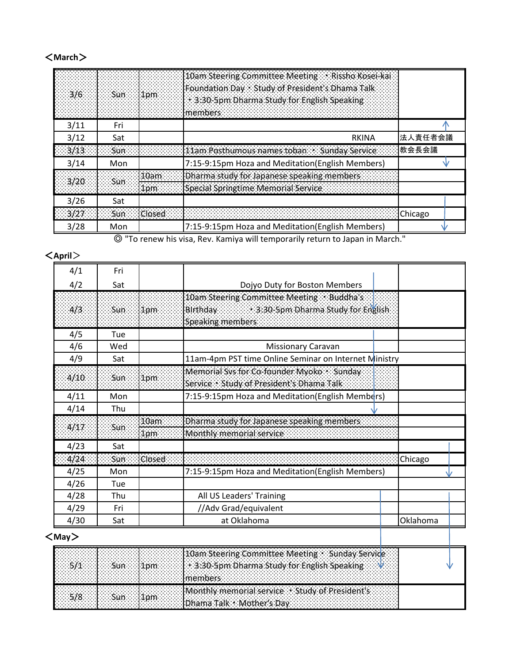#### <**March**>

5/8 Sun 1pm

| 10am Steering Committee Meeting PRissho Kosei-kai<br>Foundation Day : Study of President's Dhama Talk<br>1pm<br>3:30-5pm Dharma Study for English Speaking<br>members and contact the contact of the contact of the contact of the contact of the contact of the contact of |         |
|-----------------------------------------------------------------------------------------------------------------------------------------------------------------------------------------------------------------------------------------------------------------------------|---------|
| 3/11<br>Fri                                                                                                                                                                                                                                                                 |         |
| 3/12<br>RKINA<br>Sat                                                                                                                                                                                                                                                        | 法人責任者会議 |
| 教会長会議<br>11am Posthumous names toban Sunday Service<br>3/13<br><b>Sun</b>                                                                                                                                                                                                   |         |
| 7:15-9:15pm Hoza and Meditation(English Members)<br>3/14<br>Mon                                                                                                                                                                                                             |         |
| Dharma study for Japanese speaking members<br>3/20<br>Sun                                                                                                                                                                                                                   |         |
| Special Springtime Memorial Service                                                                                                                                                                                                                                         |         |
| 3/26<br>Sat                                                                                                                                                                                                                                                                 |         |
| 3/27<br>Sun<br><b>Closed</b><br>Chicago                                                                                                                                                                                                                                     |         |
| 7:15-9:15pm Hoza and Meditation(English Members)<br>3/28<br>Mon                                                                                                                                                                                                             |         |

◎ "To renew his visa, Rev. Kamiya will temporarily return to Japan in March."

| $\langle$ April $>$ |            |               |                                                                                                           |          |
|---------------------|------------|---------------|-----------------------------------------------------------------------------------------------------------|----------|
| 4/1                 | Fri        |               |                                                                                                           |          |
| 4/2                 | Sat        |               | Dojyo Duty for Boston Members                                                                             |          |
|                     |            |               | 10am Steering Committee Meeting Buddha's                                                                  |          |
| 4/3                 | <b>Sun</b> | 1pm           | <b>Market 3:30-5pm Dharma Study for English</b><br>Birthday<br>Speaking members                           |          |
| 4/5                 | Tue        |               |                                                                                                           |          |
| 4/6                 | Wed        |               | <b>Missionary Caravan</b>                                                                                 |          |
| 4/9                 | Sat        |               | 11am-4pm PST time Online Seminar on Internet Ministry                                                     |          |
| 4/10                | Sun        | 1pm           | Memorial Svs for Co-founder Myoko · Sunday<br>Service + Study of President's Dhama Talk                   |          |
| 4/11                | Mon        |               | 7:15-9:15pm Hoza and Meditation(English Members)                                                          |          |
| 4/14                | Thu        |               |                                                                                                           |          |
|                     |            | 10am          | Dharma study for Japanese speaking members                                                                |          |
| 4/17                | Sun        | 1pm           | Monthly memorial service.                                                                                 |          |
| 4/23                | Sat        |               |                                                                                                           |          |
| 4/24                | Sun        | <b>Closed</b> |                                                                                                           | Chicago  |
| 4/25                | Mon        |               | 7:15-9:15pm Hoza and Meditation(English Members)                                                          |          |
| 4/26                | Tue        |               |                                                                                                           |          |
| 4/28                | Thu        |               | All US Leaders' Training                                                                                  |          |
| 4/29                | Fri        |               | //Adv Grad/equivalent                                                                                     |          |
| 4/30                | Sat        |               | at Oklahoma                                                                                               | Oklahoma |
| $<$ May $>$         |            |               |                                                                                                           |          |
| 5/1                 | Sun        | 1pm           | 10am Steering Committee Meeting Sunday Service<br>3:30-5pm Dharma Study for English Speaking.<br>members. |          |

Monthly memorial service ・Study of President's

Dhama Talk・Mother's Day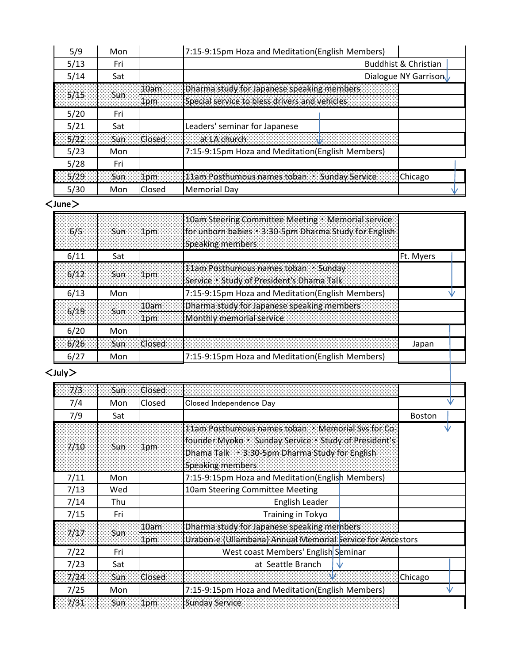| 5/9  | Mon |        | 7:15-9:15pm Hoza and Meditation(English Members)                                                           |                                 |
|------|-----|--------|------------------------------------------------------------------------------------------------------------|---------------------------------|
| 5/13 | Fri |        |                                                                                                            | <b>Buddhist &amp; Christian</b> |
| 5/14 | Sat |        |                                                                                                            | Dialogue NY Garrison            |
|      |     |        | Dam <b>Denama study for Japanese speaking members</b>                                                      |                                 |
|      |     |        | pm Special service to bless drivers and vehicles                                                           |                                 |
| 5/20 | Fri |        |                                                                                                            |                                 |
| 5/21 | Sat |        | Leaders' seminar for Japanese                                                                              |                                 |
|      |     |        | 35/2233 30633 (Closed 333) 333 at LA church 3333 3333 3333 3333 3333 3333                                  |                                 |
| 5/23 | Mon |        | 7:15-9:15pm Hoza and Meditation(English Members)                                                           |                                 |
| 5/28 | Fri |        |                                                                                                            |                                 |
|      |     |        | $\sim$ 5/29 $\sim$ $\sim$ 50n $\sim$ 11pm $\sim$ 11 am Posthumous names toban $\sim$ Sunday Service $\sim$ | <b>Chicago</b>                  |
| 5/30 | Mon | Closed | <b>Memorial Day</b>                                                                                        |                                 |

<**June**>

|      | $6/5$ Sun 1pm  |               | 10am Steering Committee Meeting · Memorial service<br>for unborn babies < 3:30-Spm Dharma Study for English<br>Speaking members and contact the speaking members |           |  |
|------|----------------|---------------|------------------------------------------------------------------------------------------------------------------------------------------------------------------|-----------|--|
| 6/11 | Sat            |               |                                                                                                                                                                  | Ft. Myers |  |
|      | $6/12$ Sun 1pm |               | 11am Posthumous names toban Sunday<br>Service : Study of President's Dhama Talk                                                                                  |           |  |
| 6/13 | Mon            |               | 7:15-9:15pm Hoza and Meditation(English Members)                                                                                                                 |           |  |
| 6/19 |                | 10am          | Dharma study for Japanese speaking members                                                                                                                       |           |  |
|      |                | 1nm           | Monthly memorial service and contact the contact of                                                                                                              |           |  |
| 6/20 | Mon            |               |                                                                                                                                                                  |           |  |
| 6/26 | Sun            | <b>Closed</b> |                                                                                                                                                                  | Japan     |  |
| 6/27 | Mon            |               | 7:15-9:15pm Hoza and Meditation(English Members)                                                                                                                 |           |  |

## <**July**>

| 7/3  | <b>Sun</b> | Closed        |                                                                                                                                                                                  |               |
|------|------------|---------------|----------------------------------------------------------------------------------------------------------------------------------------------------------------------------------|---------------|
| 7/4  | Mon        | Closed        | Closed Independence Day                                                                                                                                                          | ٦V            |
| 7/9  | Sat        |               |                                                                                                                                                                                  | <b>Boston</b> |
| 7/10 | Sun        | 1pm           | 11am Posthumous names toban - Memorial Sys for Co-<br>founder Myoko - Sunday Service - Study of President's<br>Dhama Talk 3:30-5pm Dharma Study for English<br>Speaking members. |               |
| 7/11 | Mon        |               | 7:15-9:15pm Hoza and Meditation(English Members)                                                                                                                                 |               |
| 7/13 | Wed        |               | 10am Steering Committee Meeting                                                                                                                                                  |               |
| 7/14 | Thu        |               | English Leader                                                                                                                                                                   |               |
| 7/15 | Fri        |               | Training in Tokyo                                                                                                                                                                |               |
| 7/17 | Sun        | 10am          | Dharma study for Japanese speaking members.                                                                                                                                      |               |
|      |            | 1pm           | Urabon e (Ullambana) Annual Memorial Service for Ancestors                                                                                                                       |               |
| 7/22 | Fri        |               | West coast Members' English Seminar                                                                                                                                              |               |
| 7/23 | Sat        |               | at Seattle Branch                                                                                                                                                                |               |
| 7/24 | <b>Sun</b> | <b>Closed</b> |                                                                                                                                                                                  | Chicago       |
| 7/25 | Mon        |               | 7:15-9:15pm Hoza and Meditation(English Members)                                                                                                                                 | ۱ı            |
| 7/31 | Sun        | 1pm           | <b>Sunday Service</b>                                                                                                                                                            |               |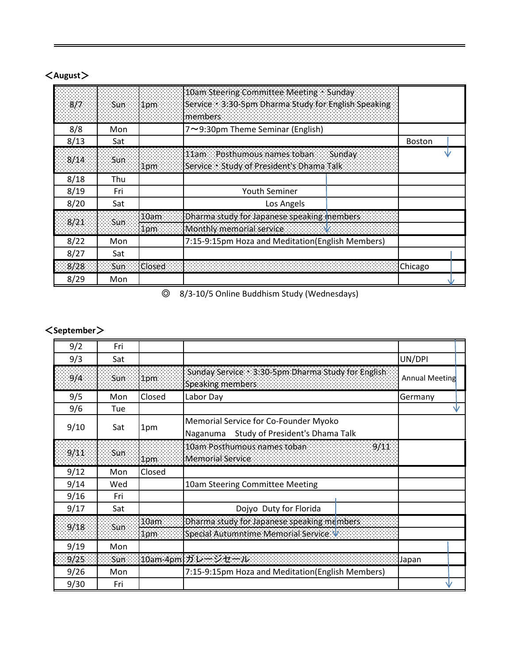| 8/7  | sun Sun | $1$ pm          | 10am Steering Committee Meeting Sunday<br>Service 3:30-5pm Dharma Study for English Speaking<br>members |               |  |
|------|---------|-----------------|---------------------------------------------------------------------------------------------------------|---------------|--|
| 8/8  | Mon     |                 | 7~9:30pm Theme Seminar (English)                                                                        |               |  |
| 8/13 | Sat     |                 |                                                                                                         | <b>Boston</b> |  |
| 8/14 | Sun     | 1 <sub>pm</sub> | 11am Posthumous names toban Sunday<br>Service Study of President's Dhama Talk                           |               |  |
| 8/18 | Thu     |                 |                                                                                                         |               |  |
| 8/19 | Fri     |                 | <b>Youth Seminer</b>                                                                                    |               |  |
| 8/20 | Sat     |                 | Los Angels                                                                                              |               |  |
| 8/21 | Sun     | 10am            | Dharma study for Japanese speaking inembers<br>Monthly memorial service and all all services and        |               |  |
| 8/22 | Mon     |                 | 7:15-9:15pm Hoza and Meditation(English Members)                                                        |               |  |
| 8/27 | Sat     |                 |                                                                                                         |               |  |
| 8/28 | Sun     | Closed          |                                                                                                         | Chicago       |  |
| 8/29 | Mon     |                 |                                                                                                         |               |  |

# <**August**>

◎ 8/3-10/5 Online Buddhism Study (Wednesdays)

# <**September**>

| 9/2  | Fri |                  |                                                                                      |                       |
|------|-----|------------------|--------------------------------------------------------------------------------------|-----------------------|
| 9/3  | Sat |                  |                                                                                      | UN/DPI                |
| 9/4  | Sun | 1 <sub>pm</sub>  | Sunday Service 3:30-5pm Dharma Study for English<br>Speaking members                 | <b>Annual Meeting</b> |
| 9/5  | Mon | Closed           | Labor Day                                                                            | Germany               |
| 9/6  | Tue |                  |                                                                                      |                       |
| 9/10 | Sat | 1pm              | Memorial Service for Co-Founder Myoko<br>Study of President's Dhama Talk<br>Naganuma |                       |
| 9/11 | Sun | 1pm              | 10am Posthumous names toban:<br>9/11<br>Memorial Service                             |                       |
| 9/12 | Mon | Closed           |                                                                                      |                       |
| 9/14 | Wed |                  | 10am Steering Committee Meeting                                                      |                       |
| 9/16 | Fri |                  |                                                                                      |                       |
| 9/17 | Sat |                  | Dojyo Duty for Florida                                                               |                       |
| 9/18 | Sun | 10 <sub>am</sub> | Dharma study for Japanese speaking members.                                          |                       |
|      |     | 1pm              | Special Autumntime Memorial Service V                                                |                       |
| 9/19 | Mon |                  |                                                                                      |                       |
| 9/25 | Sun |                  |                                                                                      | Japan                 |
| 9/26 | Mon |                  | 7:15-9:15pm Hoza and Meditation(English Members)                                     |                       |
| 9/30 | Fri |                  |                                                                                      |                       |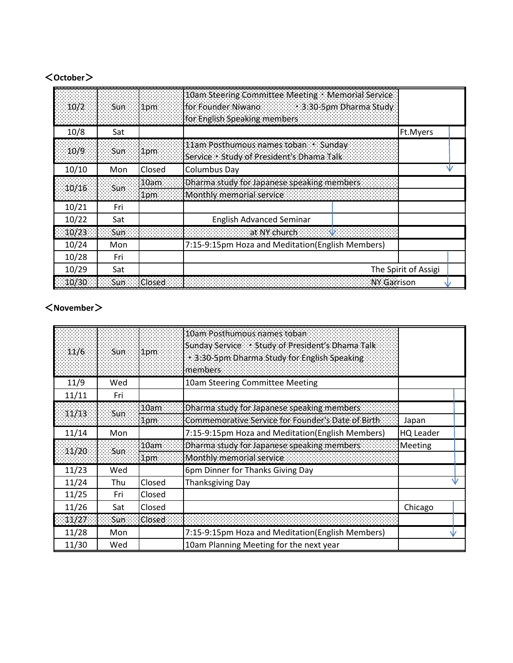#### <**October**>

| 10/2<br>ngilis. | Sun : | $1$ pm<br>Tarihin M | 10am Steering Committee Meeting . Memorial Service<br>for Founder Niwano 3:30-5pm Dharma Study<br>for English Speaking members |                      |  |
|-----------------|-------|---------------------|--------------------------------------------------------------------------------------------------------------------------------|----------------------|--|
| 10/8            | Sat   |                     |                                                                                                                                | Ft.Myers             |  |
| 10/9            | Sun   | 1pm                 | 11am Posthumous names toban > Sunday<br>Service : Study of President's Dhama Talk                                              |                      |  |
| 10/10           | Mon   | Closed              | <b>Columbus Day</b>                                                                                                            |                      |  |
| 10/16           | Sun   | 10am<br>1pm         | Dharma study for Japanese speaking members<br>Monthly memorial service                                                         |                      |  |
| 10/21           | Fri   |                     |                                                                                                                                |                      |  |
| 10/22           | Sat   |                     | <b>English Advanced Seminar</b>                                                                                                |                      |  |
| 10/23           | Sun   |                     | <b>Albert College State Advication College State</b>                                                                           |                      |  |
| 10/24           | Mon   |                     | 7:15-9:15pm Hoza and Meditation(English Members)                                                                               |                      |  |
| 10/28           | Fri   |                     |                                                                                                                                |                      |  |
| 10/29           | Sat   |                     |                                                                                                                                | The Spirit of Assigi |  |
| 10/30           | Sun   | Closed              | NY Garrison                                                                                                                    |                      |  |

## <**November**>

| 11/6  | Sun  | 1pm    | 10am Posthumous names toban<br>Sunday Service Study of President's Dhama Talk<br>3:30-Spm Dharma Study for English Speaking.<br>members |                  |  |
|-------|------|--------|-----------------------------------------------------------------------------------------------------------------------------------------|------------------|--|
| 11/9  | Wed  |        | 10am Steering Committee Meeting                                                                                                         |                  |  |
| 11/11 | Fri  |        |                                                                                                                                         |                  |  |
| 11/13 |      | 10am   | Dharma study for Japanese speaking members                                                                                              |                  |  |
|       | Sun. | 1pm    | Commemorative Service for Founder's Date of Birth                                                                                       | Japan            |  |
| 11/14 | Mon  |        | 7:15-9:15pm Hoza and Meditation(English Members)                                                                                        | <b>HQ Leader</b> |  |
| 11/20 | Sun  | 10am   | Dharma study for Japanese speaking members                                                                                              | Meeting          |  |
|       |      | 1pm    | Monthly memorial service                                                                                                                |                  |  |
| 11/23 | Wed  |        | 6pm Dinner for Thanks Giving Day                                                                                                        |                  |  |
| 11/24 | Thu  | Closed | <b>Thanksgiving Day</b>                                                                                                                 |                  |  |
| 11/25 | Fri  | Closed |                                                                                                                                         |                  |  |
| 11/26 | Sat  | Closed |                                                                                                                                         | Chicago          |  |
| 11/27 | Sun  | Closed |                                                                                                                                         |                  |  |
| 11/28 | Mon  |        | 7:15-9:15pm Hoza and Meditation(English Members)                                                                                        |                  |  |
| 11/30 | Wed  |        | 10am Planning Meeting for the next year                                                                                                 |                  |  |